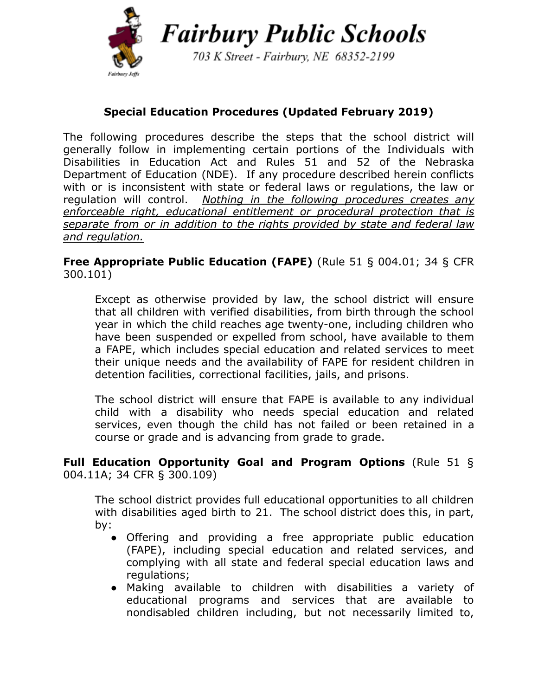

703 K Street - Fairbury, NE 68352-2199

# **Special Education Procedures (Updated February 2019)**

The following procedures describe the steps that the school district will generally follow in implementing certain portions of the Individuals with Disabilities in Education Act and Rules 51 and 52 of the Nebraska Department of Education (NDE). If any procedure described herein conflicts with or is inconsistent with state or federal laws or regulations, the law or regulation will control. *Nothing in the following procedures creates any enforceable right, educational entitlement or procedural protection that is separate from or in addition to the rights provided by state and federal law and regulation.*

**Free Appropriate Public Education (FAPE)** (Rule 51 § 004.01; 34 § CFR 300.101)

Except as otherwise provided by law, the school district will ensure that all children with verified disabilities, from birth through the school year in which the child reaches age twenty-one, including children who have been suspended or expelled from school, have available to them a FAPE, which includes special education and related services to meet their unique needs and the availability of FAPE for resident children in detention facilities, correctional facilities, jails, and prisons.

The school district will ensure that FAPE is available to any individual child with a disability who needs special education and related services, even though the child has not failed or been retained in a course or grade and is advancing from grade to grade.

#### **Full Education Opportunity Goal and Program Options** (Rule 51 § 004.11A; 34 CFR § 300.109)

The school district provides full educational opportunities to all children with disabilities aged birth to 21. The school district does this, in part, by:

- Offering and providing a free appropriate public education (FAPE), including special education and related services, and complying with all state and federal special education laws and regulations;
- Making available to children with disabilities a variety of educational programs and services that are available to nondisabled children including, but not necessarily limited to,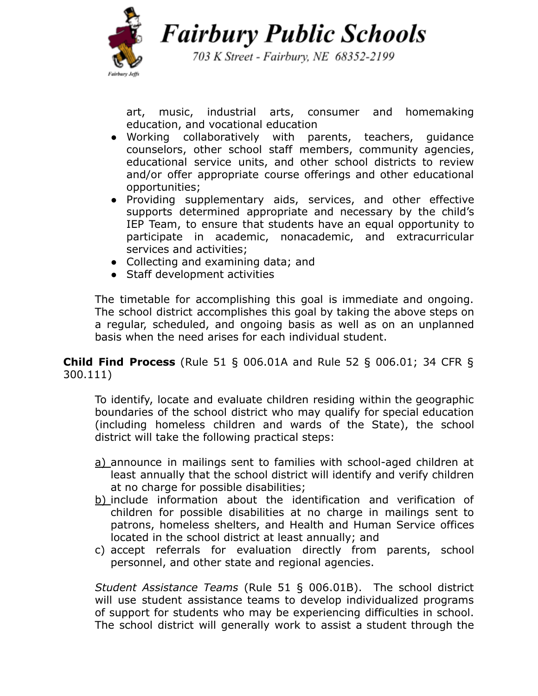

703 K Street - Fairbury, NE 68352-2199

art, music, industrial arts, consumer and homemaking education, and vocational education

- Working collaboratively with parents, teachers, guidance counselors, other school staff members, community agencies, educational service units, and other school districts to review and/or offer appropriate course offerings and other educational opportunities;
- Providing supplementary aids, services, and other effective supports determined appropriate and necessary by the child's IEP Team, to ensure that students have an equal opportunity to participate in academic, nonacademic, and extracurricular services and activities;
- Collecting and examining data; and
- Staff development activities

The timetable for accomplishing this goal is immediate and ongoing. The school district accomplishes this goal by taking the above steps on a regular, scheduled, and ongoing basis as well as on an unplanned basis when the need arises for each individual student.

**Child Find Process** (Rule 51 § 006.01A and Rule 52 § 006.01; 34 CFR § 300.111)

To identify, locate and evaluate children residing within the geographic boundaries of the school district who may qualify for special education (including homeless children and wards of the State), the school district will take the following practical steps:

- a) announce in mailings sent to families with school-aged children at least annually that the school district will identify and verify children at no charge for possible disabilities;
- b) include information about the identification and verification of children for possible disabilities at no charge in mailings sent to patrons, homeless shelters, and Health and Human Service offices located in the school district at least annually; and
- c) accept referrals for evaluation directly from parents, school personnel, and other state and regional agencies.

*Student Assistance Teams* (Rule 51 § 006.01B). The school district will use student assistance teams to develop individualized programs of support for students who may be experiencing difficulties in school. The school district will generally work to assist a student through the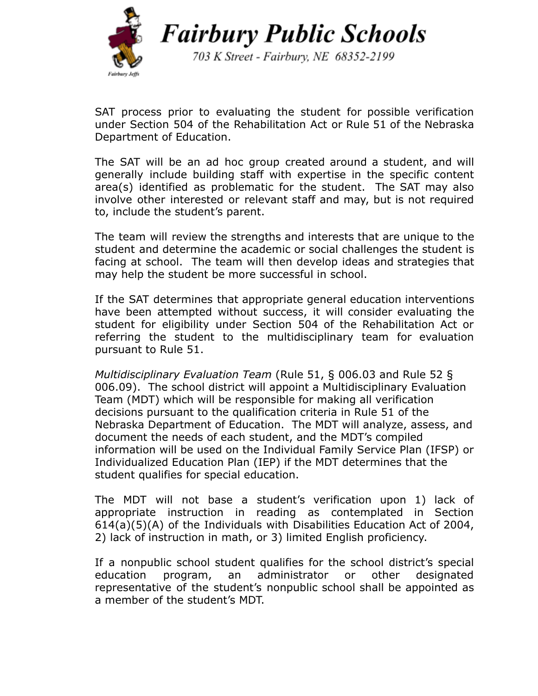

703 K Street - Fairbury, NE 68352-2199

SAT process prior to evaluating the student for possible verification under Section 504 of the Rehabilitation Act or Rule 51 of the Nebraska Department of Education.

The SAT will be an ad hoc group created around a student, and will generally include building staff with expertise in the specific content area(s) identified as problematic for the student. The SAT may also involve other interested or relevant staff and may, but is not required to, include the student's parent.

The team will review the strengths and interests that are unique to the student and determine the academic or social challenges the student is facing at school. The team will then develop ideas and strategies that may help the student be more successful in school.

If the SAT determines that appropriate general education interventions have been attempted without success, it will consider evaluating the student for eligibility under Section 504 of the Rehabilitation Act or referring the student to the multidisciplinary team for evaluation pursuant to Rule 51.

*Multidisciplinary Evaluation Team* (Rule 51, § 006.03 and Rule 52 § 006.09). The school district will appoint a Multidisciplinary Evaluation Team (MDT) which will be responsible for making all verification decisions pursuant to the qualification criteria in Rule 51 of the Nebraska Department of Education. The MDT will analyze, assess, and document the needs of each student, and the MDT's compiled information will be used on the Individual Family Service Plan (IFSP) or Individualized Education Plan (IEP) if the MDT determines that the student qualifies for special education.

The MDT will not base a student's verification upon 1) lack of appropriate instruction in reading as contemplated in Section 614(a)(5)(A) of the Individuals with Disabilities Education Act of 2004, 2) lack of instruction in math, or 3) limited English proficiency.

If a nonpublic school student qualifies for the school district's special education program, an administrator or other designated representative of the student's nonpublic school shall be appointed as a member of the student's MDT.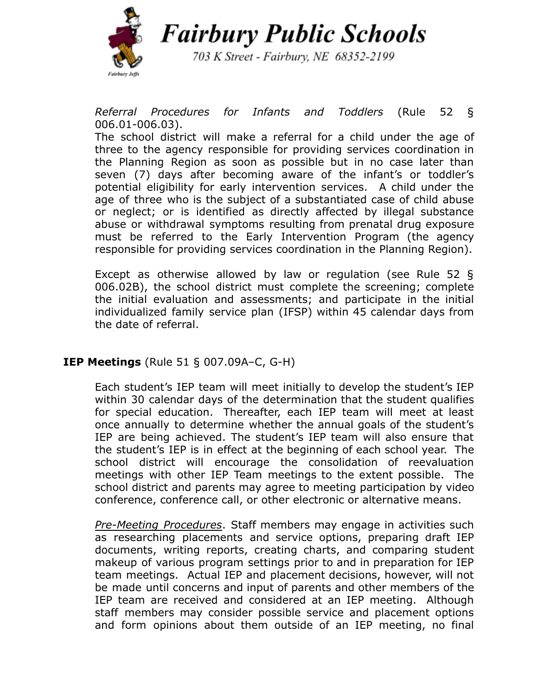

703 K Street - Fairbury, NE 68352-2199

*Referral Procedures for Infants and Toddlers* (Rule 52 § 006.01-006.03).

The school district will make a referral for a child under the age of three to the agency responsible for providing services coordination in the Planning Region as soon as possible but in no case later than seven (7) days after becoming aware of the infant's or toddler's potential eligibility for early intervention services. A child under the age of three who is the subject of a substantiated case of child abuse or neglect; or is identified as directly affected by illegal substance abuse or withdrawal symptoms resulting from prenatal drug exposure must be referred to the Early Intervention Program (the agency responsible for providing services coordination in the Planning Region).

Except as otherwise allowed by law or regulation (see Rule 52 § 006.02B), the school district must complete the screening; complete the initial evaluation and assessments; and participate in the initial individualized family service plan (IFSP) within 45 calendar days from the date of referral.

### **IEP Meetings** (Rule 51 § 007.09A–C, G-H)

Each student's IEP team will meet initially to develop the student's IEP within 30 calendar days of the determination that the student qualifies for special education. Thereafter, each IEP team will meet at least once annually to determine whether the annual goals of the student's IEP are being achieved. The student's IEP team will also ensure that the student's IEP is in effect at the beginning of each school year. The school district will encourage the consolidation of reevaluation meetings with other IEP Team meetings to the extent possible. The school district and parents may agree to meeting participation by video conference, conference call, or other electronic or alternative means.

*Pre-Meeting Procedures*. Staff members may engage in activities such as researching placements and service options, preparing draft IEP documents, writing reports, creating charts, and comparing student makeup of various program settings prior to and in preparation for IEP team meetings. Actual IEP and placement decisions, however, will not be made until concerns and input of parents and other members of the IEP team are received and considered at an IEP meeting. Although staff members may consider possible service and placement options and form opinions about them outside of an IEP meeting, no final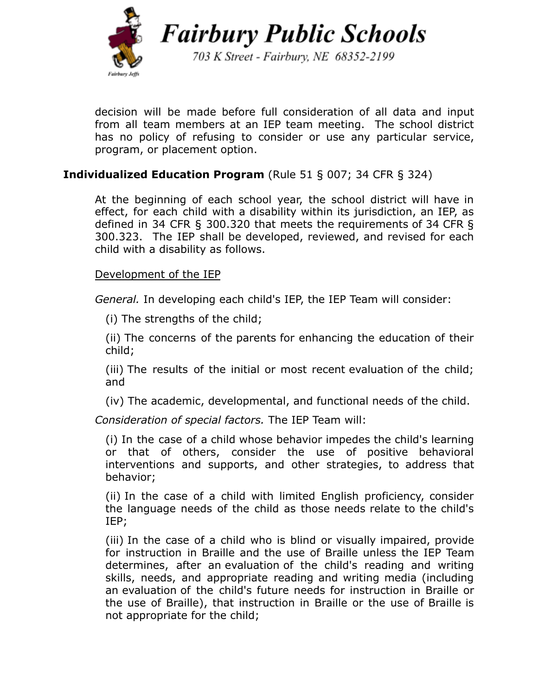

703 K Street - Fairbury, NE 68352-2199

decision will be made before full consideration of all data and input from all team members at an IEP team meeting. The school district has no policy of refusing to consider or use any particular service, program, or placement option.

## **Individualized Education Program** (Rule 51 § 007; 34 CFR § 324)

At the beginning of each school year, the school district will have in effect, for each child with a disability within its jurisdiction, an IEP, as defined in 34 CFR § 300.320 that meets the requirements of 34 CFR § 300.323. The IEP shall be developed, reviewed, and revised for each child with a disability as follows.

## Development of the IEP

*General.* In developing each child's IEP, the IEP Team will consider:

(i) The strengths of the child;

(ii) The concerns of the [parents](https://www.law.cornell.edu/definitions/index.php?width=840&height=800&iframe=true&def_id=9b859690d1363a12c9a4e90668a662eb&term_occur=1&term_src=Title:34:Subtitle:B:Chapter:III:Part:300:Subpart:D:Subjgrp:59:300.324) for enhancing the education of their child;

(iii) The results of the initial or most recent [evaluation](https://www.law.cornell.edu/definitions/index.php?width=840&height=800&iframe=true&def_id=7fd9f9efac7a11c68c7fbb4a2779de69&term_occur=1&term_src=Title:34:Subtitle:B:Chapter:III:Part:300:Subpart:D:Subjgrp:59:300.324) of the child; and

(iv) The academic, developmental, and functional needs of the child.

*Consideration of special factors.* The IEP Team will:

(i) In the case of a child whose behavior impedes the child's learning or that of others, consider the use of positive behavioral interventions and supports, and other strategies, to address that behavior;

(ii) In the case of a child with limited English proficiency, consider the language needs of the child as those needs relate to the child's IEP;

(iii) In the case of a child who is blind or visually impaired, provide for instruction in Braille and the use of Braille unless the IEP Team determines, after an [evaluation](https://www.law.cornell.edu/definitions/index.php?width=840&height=800&iframe=true&def_id=7fd9f9efac7a11c68c7fbb4a2779de69&term_occur=2&term_src=Title:34:Subtitle:B:Chapter:III:Part:300:Subpart:D:Subjgrp:59:300.324) of the child's reading and writing skills, needs, and appropriate reading and writing media (including an [evaluation](https://www.law.cornell.edu/definitions/index.php?width=840&height=800&iframe=true&def_id=7fd9f9efac7a11c68c7fbb4a2779de69&term_occur=3&term_src=Title:34:Subtitle:B:Chapter:III:Part:300:Subpart:D:Subjgrp:59:300.324) of the child's future needs for instruction in Braille or the use of Braille), that instruction in Braille or the use of Braille is not appropriate for the child;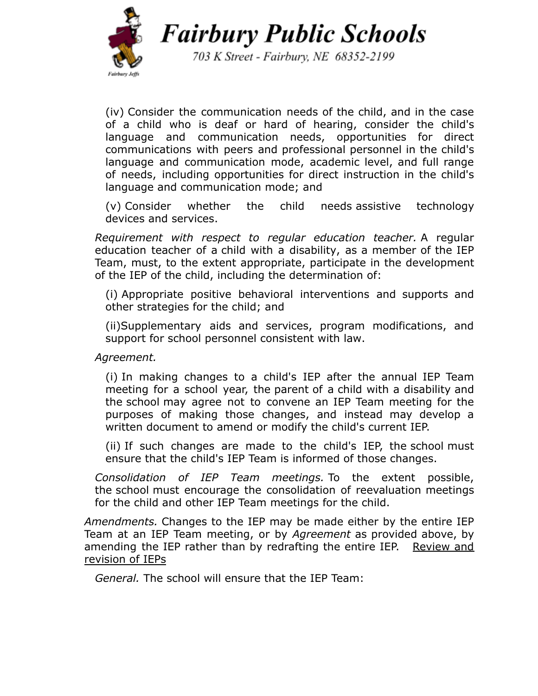

703 K Street - Fairbury, NE 68352-2199

(iv) Consider the communication needs of the child, and in the case of a child who is deaf or hard of hearing, consider the child's language and communication needs, opportunities for direct communications with peers and professional personnel in the child's language and communication mode, academic level, and full range of needs, including opportunities for direct instruction in the child's language and communication mode; and

(v) Consider whether the child needs assistive [technology](https://www.law.cornell.edu/definitions/index.php?width=840&height=800&iframe=true&def_id=0c375109400aa2ae7f3e2073c1955572&term_occur=1&term_src=Title:34:Subtitle:B:Chapter:III:Part:300:Subpart:D:Subjgrp:59:300.324) [devices](https://www.law.cornell.edu/definitions/index.php?width=840&height=800&iframe=true&def_id=0c375109400aa2ae7f3e2073c1955572&term_occur=1&term_src=Title:34:Subtitle:B:Chapter:III:Part:300:Subpart:D:Subjgrp:59:300.324) and services.

*Requirement with respect to regular education teacher.* A regular education teacher of a child with a [disability,](https://www.law.cornell.edu/definitions/index.php?width=840&height=800&iframe=true&def_id=f0040fd71669eb1248d1b2a422e7d39a&term_occur=1&term_src=Title:34:Subtitle:B:Chapter:III:Part:300:Subpart:D:Subjgrp:59:300.324) as a member of the IEP Team, must, to the extent appropriate, participate in the development of the IEP of the child, including the [determination](https://www.law.cornell.edu/definitions/index.php?width=840&height=800&iframe=true&def_id=f9d80d3e4067da1dab3dfcb8aba47b3a&term_occur=1&term_src=Title:34:Subtitle:B:Chapter:III:Part:300:Subpart:D:Subjgrp:59:300.324) of:

(i) Appropriate positive behavioral interventions and supports and other strategies for the child; and

(ii[\)Supplementary](https://www.law.cornell.edu/definitions/index.php?width=840&height=800&iframe=true&def_id=4589011f0121bd663b01ff1efa2754de&term_occur=1&term_src=Title:34:Subtitle:B:Chapter:III:Part:300:Subpart:D:Subjgrp:59:300.324) aids and services, program modifications, and support for school personnel consistent with [law.](https://www.law.cornell.edu/cfr/text/34/300.320#a_4)

*Agreement.*

(i) In making changes to a child's IEP after the annual IEP Team meeting for a school year, the [parent](https://www.law.cornell.edu/definitions/index.php?width=840&height=800&iframe=true&def_id=9b859690d1363a12c9a4e90668a662eb&term_occur=2&term_src=Title:34:Subtitle:B:Chapter:III:Part:300:Subpart:D:Subjgrp:59:300.324) of a child with a [disability](https://www.law.cornell.edu/definitions/index.php?width=840&height=800&iframe=true&def_id=f0040fd71669eb1248d1b2a422e7d39a&term_occur=2&term_src=Title:34:Subtitle:B:Chapter:III:Part:300:Subpart:D:Subjgrp:59:300.324) and the [school](https://www.law.cornell.edu/definitions/index.php?width=840&height=800&iframe=true&def_id=e0aca252d5dfb28bf343529a57e1b329&term_occur=1&term_src=Title:34:Subtitle:B:Chapter:III:Part:300:Subpart:D:Subjgrp:59:300.324) may agree not to convene an IEP Team meeting for the purposes of making those changes, and instead may develop a written document to amend or modify the child's current IEP.

(ii) If such changes are made to the child's IEP, the [school](https://www.law.cornell.edu/definitions/index.php?width=840&height=800&iframe=true&def_id=e0aca252d5dfb28bf343529a57e1b329&term_occur=2&term_src=Title:34:Subtitle:B:Chapter:III:Part:300:Subpart:D:Subjgrp:59:300.324) must ensure that the child's IEP Team is informed of those changes.

*Consolidation of IEP Team meetings.* To the extent possible, the [school](https://www.law.cornell.edu/definitions/index.php?width=840&height=800&iframe=true&def_id=e0aca252d5dfb28bf343529a57e1b329&term_occur=3&term_src=Title:34:Subtitle:B:Chapter:III:Part:300:Subpart:D:Subjgrp:59:300.324) must encourage the consolidation of reevaluation meetings for the child and other IEP Team meetings for the child.

*Amendments.* Changes to the IEP may be made either by the entire IEP Team at an IEP Team meeting, or by *Agreement* as provided above, by amending the IEP rather than by redrafting the entire IEP. Review and revision of IEPs

*General.* The [school](https://www.law.cornell.edu/definitions/index.php?width=840&height=800&iframe=true&def_id=e0aca252d5dfb28bf343529a57e1b329&term_occur=4&term_src=Title:34:Subtitle:B:Chapter:III:Part:300:Subpart:D:Subjgrp:59:300.324) will ensure that the IEP Team: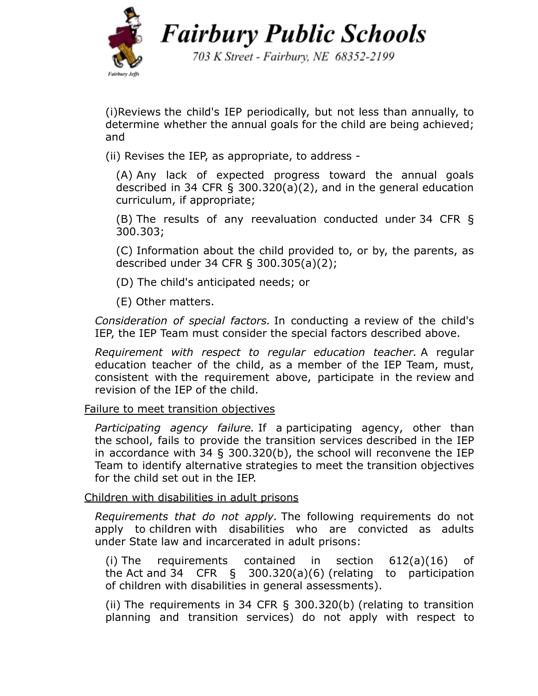

703 K Street - Fairbury, NE 68352-2199

(i[\)Reviews](https://www.law.cornell.edu/definitions/index.php?width=840&height=800&iframe=true&def_id=57074eb1dad654ba403d8368aa06b822&term_occur=2&term_src=Title:34:Subtitle:B:Chapter:III:Part:300:Subpart:D:Subjgrp:59:300.324) the child's IEP periodically, but not less than annually, to determine whether the annual goals for the child are being achieved; and

(ii) Revises the IEP, as appropriate, to address -

(A) Any lack of expected progress toward the annual goals described in 34 CFR § [300.320\(a\)\(2\),](https://www.law.cornell.edu/cfr/text/34/300.320#a_2) and in the general education curriculum, if appropriate;

(B) The results of any reevaluation conducted under 34 CFR [§](https://www.law.cornell.edu/cfr/text/34/300.303) [300.303](https://www.law.cornell.edu/cfr/text/34/300.303);

(C) Information about the child provided to, or by, the parents, as described under 34 CFR [§ 300.305\(a\)\(2\);](https://www.law.cornell.edu/cfr/text/34/300.305#a_2)

(D) The child's anticipated needs; or

(E) Other matters.

*Consideration of special factors.* In conducting a [review](https://www.law.cornell.edu/definitions/index.php?width=840&height=800&iframe=true&def_id=57074eb1dad654ba403d8368aa06b822&term_occur=3&term_src=Title:34:Subtitle:B:Chapter:III:Part:300:Subpart:D:Subjgrp:59:300.324) of the child's IEP, the IEP Team must consider the special factors described above.

*Requirement with respect to regular education teacher.* A regular education teacher of the child, as a member of the IEP Team, must, consistent with the requirement above, participate in the [review](https://www.law.cornell.edu/definitions/index.php?width=840&height=800&iframe=true&def_id=57074eb1dad654ba403d8368aa06b822&term_occur=4&term_src=Title:34:Subtitle:B:Chapter:III:Part:300:Subpart:D:Subjgrp:59:300.324) and revision of the IEP of the child.

Failure to meet transition objectives

*Participating agency failure.* If a [participating](https://www.law.cornell.edu/definitions/index.php?width=840&height=800&iframe=true&def_id=3093939e70bd162be79f90b12d3ee788&term_occur=1&term_src=Title:34:Subtitle:B:Chapter:III:Part:300:Subpart:D:Subjgrp:59:300.324) agency, other than the [school,](https://www.law.cornell.edu/definitions/index.php?width=840&height=800&iframe=true&def_id=e0aca252d5dfb28bf343529a57e1b329&term_occur=5&term_src=Title:34:Subtitle:B:Chapter:III:Part:300:Subpart:D:Subjgrp:59:300.324) fails to provide the [transition](https://www.law.cornell.edu/definitions/index.php?width=840&height=800&iframe=true&def_id=2c9f3f4e54c3499633b174749f739e85&term_occur=1&term_src=Title:34:Subtitle:B:Chapter:III:Part:300:Subpart:D:Subjgrp:59:300.324) services described in the IEP in accordance with 34 § [300.320\(b\)](https://www.law.cornell.edu/cfr/text/34/300.320#b), the [school](https://www.law.cornell.edu/definitions/index.php?width=840&height=800&iframe=true&def_id=e0aca252d5dfb28bf343529a57e1b329&term_occur=6&term_src=Title:34:Subtitle:B:Chapter:III:Part:300:Subpart:D:Subjgrp:59:300.324) will reconvene the IEP Team to identify alternative strategies to meet the transition objectives for the child set out in the IEP.

### Children with disabilities in adult prisons

*Requirements that do not apply.* The following requirements do not apply to [children](https://www.law.cornell.edu/definitions/index.php?width=840&height=800&iframe=true&def_id=3a47d1b4d00bbbe8c17fd7fdc4030693&term_occur=2&term_src=Title:34:Subtitle:B:Chapter:III:Part:300:Subpart:D:Subjgrp:59:300.324) with disabilities who are convicted as adults under [State](https://www.law.cornell.edu/definitions/index.php?width=840&height=800&iframe=true&def_id=5610bc66d367e8bcdc16da4706fdf626&term_occur=2&term_src=Title:34:Subtitle:B:Chapter:III:Part:300:Subpart:D:Subjgrp:59:300.324) law and incarcerated in adult prisons:

(i) The requirements contained in section 612(a)(16) of the [Act](https://www.law.cornell.edu/definitions/index.php?width=840&height=800&iframe=true&def_id=489c155f025894392da6d6d45ae93d7d&term_occur=1&term_src=Title:34:Subtitle:B:Chapter:III:Part:300:Subpart:D:Subjgrp:59:300.324) and 34 CFR § [300.320\(a\)\(6\)](https://www.law.cornell.edu/cfr/text/34/300.320#a_6) (relating to participation of [children](https://www.law.cornell.edu/definitions/index.php?width=840&height=800&iframe=true&def_id=3a47d1b4d00bbbe8c17fd7fdc4030693&term_occur=3&term_src=Title:34:Subtitle:B:Chapter:III:Part:300:Subpart:D:Subjgrp:59:300.324) with disabilities in general assessments).

(ii) The requirements in 34 CFR § [300.320\(b\)](https://www.law.cornell.edu/cfr/text/34/300.320#b) (relating to transition planning and transition services) do not apply with respect to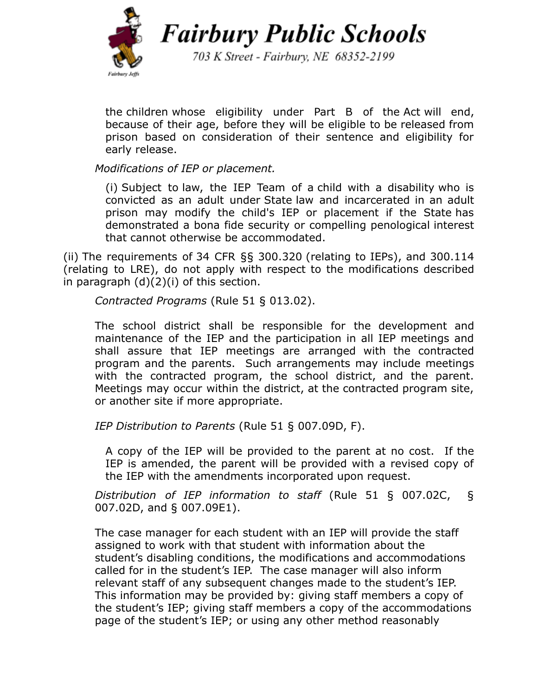

703 K Street - Fairbury, NE 68352-2199

the [children](https://www.law.cornell.edu/definitions/index.php?width=840&height=800&iframe=true&def_id=3a47d1b4d00bbbe8c17fd7fdc4030693&term_occur=4&term_src=Title:34:Subtitle:B:Chapter:III:Part:300:Subpart:D:Subjgrp:59:300.324) whose eligibility under Part B of the [Act](https://www.law.cornell.edu/definitions/index.php?width=840&height=800&iframe=true&def_id=489c155f025894392da6d6d45ae93d7d&term_occur=2&term_src=Title:34:Subtitle:B:Chapter:III:Part:300:Subpart:D:Subjgrp:59:300.324) will end, because of their age, before they will be eligible to be released from prison based on consideration of their sentence and eligibility for early release.

*Modifications of IEP or placement.*

(i) Subject to law, the IEP Team of a child with a [disability](https://www.law.cornell.edu/definitions/index.php?width=840&height=800&iframe=true&def_id=f0040fd71669eb1248d1b2a422e7d39a&term_occur=3&term_src=Title:34:Subtitle:B:Chapter:III:Part:300:Subpart:D:Subjgrp:59:300.324) who is convicted as an adult under [State](https://www.law.cornell.edu/definitions/index.php?width=840&height=800&iframe=true&def_id=5610bc66d367e8bcdc16da4706fdf626&term_occur=3&term_src=Title:34:Subtitle:B:Chapter:III:Part:300:Subpart:D:Subjgrp:59:300.324) law and incarcerated in an adult prison may modify the child's IEP or placement if the [State](https://www.law.cornell.edu/definitions/index.php?width=840&height=800&iframe=true&def_id=5610bc66d367e8bcdc16da4706fdf626&term_occur=4&term_src=Title:34:Subtitle:B:Chapter:III:Part:300:Subpart:D:Subjgrp:59:300.324) has demonstrated a bona fide security or compelling penological interest that cannot otherwise be accommodated.

(ii) The requirements of 34 CFR §§ [300.320](https://www.law.cornell.edu/cfr/text/34/300.320) (relating to IEPs), and 300.114 (relating to LRE), do not apply with respect to the modifications described in [paragraph \(d\)\(2\)\(i\)](https://www.law.cornell.edu/cfr/text/34/300.324#d_2_i) of this section.

*Contracted Programs* (Rule 51 § 013.02).

The school district shall be responsible for the development and maintenance of the IEP and the participation in all IEP meetings and shall assure that IEP meetings are arranged with the contracted program and the parents. Such arrangements may include meetings with the contracted program, the school district, and the parent. Meetings may occur within the district, at the contracted program site, or another site if more appropriate.

*IEP Distribution to Parents* (Rule 51 § 007.09D, F).

A copy of the IEP will be provided to the parent at no cost. If the IEP is amended, the parent will be provided with a revised copy of the IEP with the amendments incorporated upon request.

*Distribution of IEP information to staff* (Rule 51 § 007.02C, § 007.02D, and § 007.09E1).

The case manager for each student with an IEP will provide the staff assigned to work with that student with information about the student's disabling conditions, the modifications and accommodations called for in the student's IEP. The case manager will also inform relevant staff of any subsequent changes made to the student's IEP. This information may be provided by: giving staff members a copy of the student's IEP; giving staff members a copy of the accommodations page of the student's IEP; or using any other method reasonably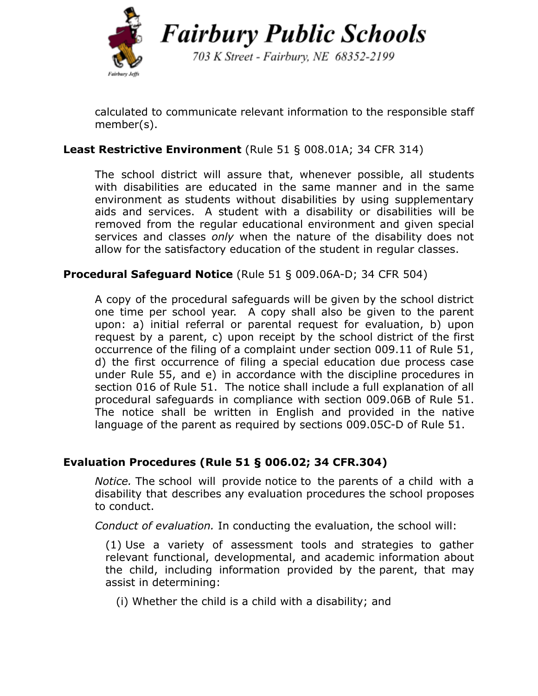

703 K Street - Fairbury, NE 68352-2199

calculated to communicate relevant information to the responsible staff member(s).

# **Least Restrictive Environment** (Rule 51 § 008.01A; 34 CFR 314)

The school district will assure that, whenever possible, all students with disabilities are educated in the same manner and in the same environment as students without disabilities by using supplementary aids and services. A student with a disability or disabilities will be removed from the regular educational environment and given special services and classes *only* when the nature of the disability does not allow for the satisfactory education of the student in regular classes.

## **Procedural Safeguard Notice** (Rule 51 § 009.06A-D; 34 CFR 504)

A copy of the procedural safeguards will be given by the school district one time per school year. A copy shall also be given to the parent upon: a) initial referral or parental request for evaluation, b) upon request by a parent, c) upon receipt by the school district of the first occurrence of the filing of a complaint under section 009.11 of Rule 51, d) the first occurrence of filing a special education due process case under Rule 55, and e) in accordance with the discipline procedures in section 016 of Rule 51. The notice shall include a full explanation of all procedural safeguards in compliance with section 009.06B of Rule 51. The notice shall be written in English and provided in the native language of the parent as required by sections 009.05C-D of Rule 51.

### **Evaluation Procedures (Rule 51 § 006.02; 34 CFR.304)**

*Notice.* The school will provide [notice](https://www.law.cornell.edu/definitions/index.php?width=840&height=800&iframe=true&def_id=cdb9a1671cc2326894eb26264b95f155&term_occur=1&term_src=Title:34:Subtitle:B:Chapter:III:Part:300:Subpart:D:Subjgrp:56:300.304) to the [parents](https://www.law.cornell.edu/definitions/index.php?width=840&height=800&iframe=true&def_id=9b859690d1363a12c9a4e90668a662eb&term_occur=1&term_src=Title:34:Subtitle:B:Chapter:III:Part:300:Subpart:D:Subjgrp:56:300.304) of a [child](https://www.law.cornell.edu/definitions/index.php?width=840&height=800&iframe=true&def_id=f0040fd71669eb1248d1b2a422e7d39a&term_occur=1&term_src=Title:34:Subtitle:B:Chapter:III:Part:300:Subpart:D:Subjgrp:56:300.304) with a [disability](https://www.law.cornell.edu/definitions/index.php?width=840&height=800&iframe=true&def_id=f0040fd71669eb1248d1b2a422e7d39a&term_occur=1&term_src=Title:34:Subtitle:B:Chapter:III:Part:300:Subpart:D:Subjgrp:56:300.304) that describes any [evaluation](https://www.law.cornell.edu/definitions/index.php?width=840&height=800&iframe=true&def_id=7fd9f9efac7a11c68c7fbb4a2779de69&term_occur=2&term_src=Title:34:Subtitle:B:Chapter:III:Part:300:Subpart:D:Subjgrp:56:300.304) procedures the school proposes to conduct.

*Conduct of evaluation.* In conducting the [evaluation,](https://www.law.cornell.edu/definitions/index.php?width=840&height=800&iframe=true&def_id=7fd9f9efac7a11c68c7fbb4a2779de69&term_occur=3&term_src=Title:34:Subtitle:B:Chapter:III:Part:300:Subpart:D:Subjgrp:56:300.304) the [school](https://www.law.cornell.edu/definitions/index.php?width=840&height=800&iframe=true&def_id=e0aca252d5dfb28bf343529a57e1b329&term_occur=2&term_src=Title:34:Subtitle:B:Chapter:III:Part:300:Subpart:D:Subjgrp:56:300.304) will:

(1) Use a variety of assessment tools and strategies to gather relevant functional, developmental, and academic information about the child, including information provided by the [parent](https://www.law.cornell.edu/definitions/index.php?width=840&height=800&iframe=true&def_id=9b859690d1363a12c9a4e90668a662eb&term_occur=2&term_src=Title:34:Subtitle:B:Chapter:III:Part:300:Subpart:D:Subjgrp:56:300.304), that may assist in determining:

(i) Whether the child is a [child with a disability](https://www.law.cornell.edu/definitions/index.php?width=840&height=800&iframe=true&def_id=f0040fd71669eb1248d1b2a422e7d39a&term_occur=2&term_src=Title:34:Subtitle:B:Chapter:III:Part:300:Subpart:D:Subjgrp:56:300.304); and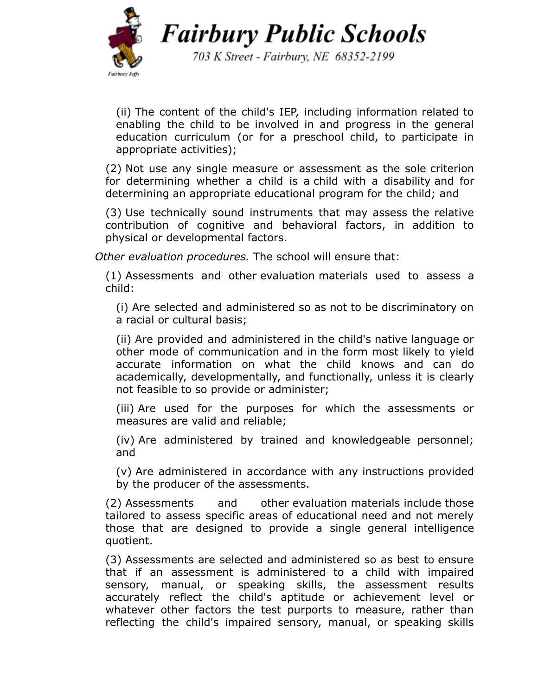

703 K Street - Fairbury, NE 68352-2199

(ii) The content of the child's IEP, including information related to enabling the child to be involved in and progress in the general education curriculum (or for a preschool child, to participate in appropriate activities);

(2) Not use any single measure or assessment as the sole criterion for determining whether a child is a child with a [disability](https://www.law.cornell.edu/definitions/index.php?width=840&height=800&iframe=true&def_id=f0040fd71669eb1248d1b2a422e7d39a&term_occur=3&term_src=Title:34:Subtitle:B:Chapter:III:Part:300:Subpart:D:Subjgrp:56:300.304) and for determining an appropriate educational program for the child; and

(3) Use technically sound instruments that may assess the relative contribution of cognitive and behavioral factors, in addition to physical or developmental factors.

*Other evaluation procedures.* The school will ensure that:

(1) Assessments and other [evaluation](https://www.law.cornell.edu/definitions/index.php?width=840&height=800&iframe=true&def_id=7fd9f9efac7a11c68c7fbb4a2779de69&term_occur=4&term_src=Title:34:Subtitle:B:Chapter:III:Part:300:Subpart:D:Subjgrp:56:300.304) materials used to assess a child:

(i) Are selected and administered so as not to be discriminatory on a racial or cultural basis;

(ii) Are provided and administered in the child's native language or other mode of communication and in the form most likely to yield accurate information on what the child knows and can do academically, developmentally, and functionally, unless it is clearly not feasible to so provide or administer;

(iii) Are used for the purposes for which the assessments or measures are valid and reliable;

(iv) Are administered by trained and knowledgeable personnel; and

(v) Are administered in accordance with any instructions provided by the producer of the assessments.

(2) Assessments and other [evaluation](https://www.law.cornell.edu/definitions/index.php?width=840&height=800&iframe=true&def_id=7fd9f9efac7a11c68c7fbb4a2779de69&term_occur=5&term_src=Title:34:Subtitle:B:Chapter:III:Part:300:Subpart:D:Subjgrp:56:300.304) materials [include](https://www.law.cornell.edu/definitions/index.php?width=840&height=800&iframe=true&def_id=f31b6027283ea1d85fcbbf0ce99cf4e9&term_occur=1&term_src=Title:34:Subtitle:B:Chapter:III:Part:300:Subpart:D:Subjgrp:56:300.304) those tailored to assess specific areas of educational need and not merely those that are designed to provide a single general intelligence quotient.

(3) Assessments are selected and administered so as best to ensure that if an assessment is administered to a child with impaired sensory, manual, or speaking skills, the assessment results accurately reflect the child's aptitude or achievement level or whatever other factors the test purports to measure, rather than reflecting the child's impaired sensory, manual, or speaking skills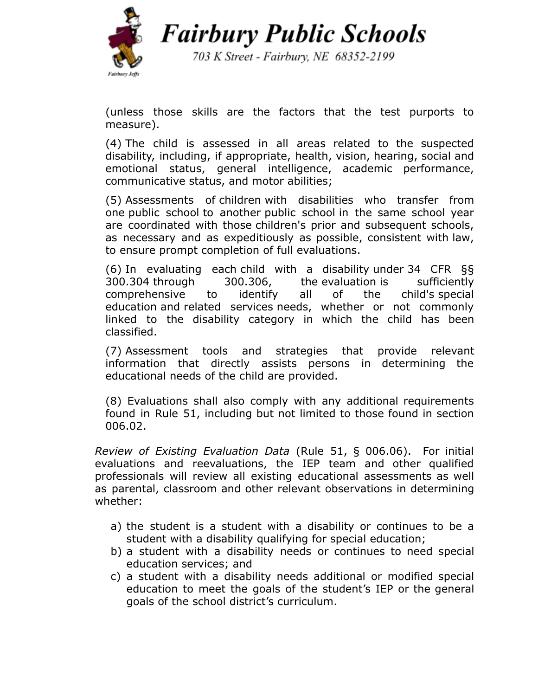

703 K Street - Fairbury, NE 68352-2199

(unless those skills are the factors that the test purports to measure).

(4) The child is assessed in all areas related to the suspected disability, including, if appropriate, health, vision, hearing, social and emotional status, general intelligence, academic performance, communicative status, and motor abilities;

(5) Assessments of [children](https://www.law.cornell.edu/definitions/index.php?width=840&height=800&iframe=true&def_id=3a47d1b4d00bbbe8c17fd7fdc4030693&term_occur=1&term_src=Title:34:Subtitle:B:Chapter:III:Part:300:Subpart:D:Subjgrp:56:300.304) with disabilities who transfer from one public [school](https://www.law.cornell.edu/definitions/index.php?width=840&height=800&iframe=true&def_id=e0aca252d5dfb28bf343529a57e1b329&term_occur=4&term_src=Title:34:Subtitle:B:Chapter:III:Part:300:Subpart:D:Subjgrp:56:300.304) to another public [school](https://www.law.cornell.edu/definitions/index.php?width=840&height=800&iframe=true&def_id=e0aca252d5dfb28bf343529a57e1b329&term_occur=5&term_src=Title:34:Subtitle:B:Chapter:III:Part:300:Subpart:D:Subjgrp:56:300.304) in the same school year are coordinated with those [children](https://www.law.cornell.edu/definitions/index.php?width=840&height=800&iframe=true&def_id=3a47d1b4d00bbbe8c17fd7fdc4030693&term_occur=2&term_src=Title:34:Subtitle:B:Chapter:III:Part:300:Subpart:D:Subjgrp:56:300.304)'s prior and subsequent schools, as necessary and as expeditiously as possible, consistent with [law](https://www.law.cornell.edu/cfr/text/34/300.301#d_2), to ensure prompt completion of full evaluations.

(6) In evaluating each child with a [disability](https://www.law.cornell.edu/definitions/index.php?width=840&height=800&iframe=true&def_id=f0040fd71669eb1248d1b2a422e7d39a&term_occur=4&term_src=Title:34:Subtitle:B:Chapter:III:Part:300:Subpart:D:Subjgrp:56:300.304) under 34 CFR [§§](https://www.law.cornell.edu/cfr/text/34/300.304) [300.304](https://www.law.cornell.edu/cfr/text/34/300.304) through 300.306, the [evaluation](https://www.law.cornell.edu/definitions/index.php?width=840&height=800&iframe=true&def_id=7fd9f9efac7a11c68c7fbb4a2779de69&term_occur=6&term_src=Title:34:Subtitle:B:Chapter:III:Part:300:Subpart:D:Subjgrp:56:300.304) is sufficiently comprehensive to identify all of the child's [special](https://www.law.cornell.edu/definitions/index.php?width=840&height=800&iframe=true&def_id=65c55014242d4b01105b438b0e8e42d4&term_occur=1&term_src=Title:34:Subtitle:B:Chapter:III:Part:300:Subpart:D:Subjgrp:56:300.304) [education](https://www.law.cornell.edu/definitions/index.php?width=840&height=800&iframe=true&def_id=65c55014242d4b01105b438b0e8e42d4&term_occur=1&term_src=Title:34:Subtitle:B:Chapter:III:Part:300:Subpart:D:Subjgrp:56:300.304) and related [services](https://www.law.cornell.edu/definitions/index.php?width=840&height=800&iframe=true&def_id=c9fac1286853fb482ea90c6503f70392&term_occur=1&term_src=Title:34:Subtitle:B:Chapter:III:Part:300:Subpart:D:Subjgrp:56:300.304) needs, whether or not commonly linked to the disability category in which the child has been classified.

(7) Assessment tools and strategies that provide relevant information that directly assists persons in determining the educational needs of the child are provided.

(8) Evaluations shall also comply with any additional requirements found in Rule 51, including but not limited to those found in section 006.02.

*Review of Existing Evaluation Data* (Rule 51, § 006.06). For initial evaluations and reevaluations, the IEP team and other qualified professionals will review all existing educational assessments as well as parental, classroom and other relevant observations in determining whether:

- a) the student is a student with a disability or continues to be a student with a disability qualifying for special education;
- b) a student with a disability needs or continues to need special education services; and
- c) a student with a disability needs additional or modified special education to meet the goals of the student's IEP or the general goals of the school district's curriculum.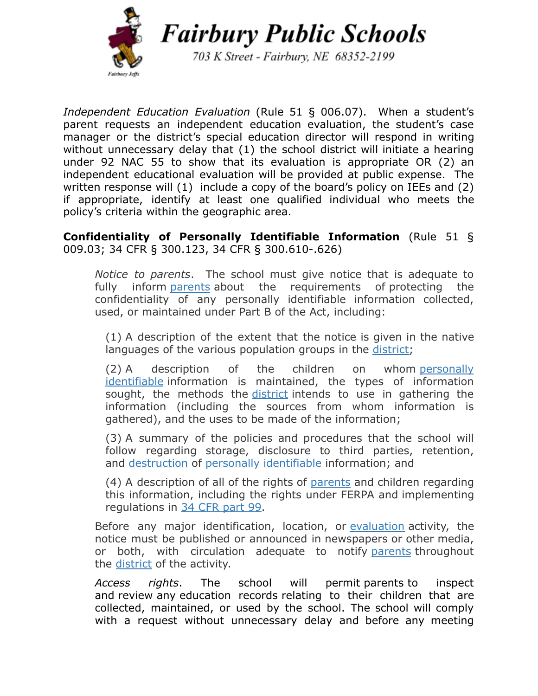

703 K Street - Fairbury, NE 68352-2199

*Independent Education Evaluation* (Rule 51 § 006.07). When a student's parent requests an independent education evaluation, the student's case manager or the district's special education director will respond in writing without unnecessary delay that (1) the school district will initiate a hearing under 92 NAC 55 to show that its evaluation is appropriate OR (2) an independent educational evaluation will be provided at public expense. The written response will (1) include a copy of the board's policy on IEEs and (2) if appropriate, identify at least one qualified individual who meets the policy's criteria within the geographic area.

**Confidentiality of Personally Identifiable Information** (Rule 51 § 009.03; 34 CFR § 300.123, 34 CFR § 300.610-.626)

*Notice to parents*. The school must give notice that is adequate to fully inform [parents](https://www.law.cornell.edu/definitions/index.php?width=840&height=800&iframe=true&def_id=b6ce5c79a8e97041f2936a0d0d738c11&term_occur=1&term_src=Title:34:Subtitle:B:Chapter:III:Part:300:Subpart:F:Subjgrp:62:300.612) about the requirements of protecting the confidentiality of any personally identifiable information collected, used, or maintained under Part B of the Act, including:

(1) A description of the extent that the notice is given in the native languages of the various population groups in the [district;](https://www.law.cornell.edu/definitions/index.php?width=840&height=800&iframe=true&def_id=5610bc66d367e8bcdc16da4706fdf626&term_occur=1&term_src=Title:34:Subtitle:B:Chapter:III:Part:300:Subpart:F:Subjgrp:62:300.612)

(2) A description of the children on whom [personally](https://www.law.cornell.edu/definitions/index.php?width=840&height=800&iframe=true&def_id=fe066366fed1d24d7d8c56baa2f4e2a1&term_occur=1&term_src=Title:34:Subtitle:B:Chapter:III:Part:300:Subpart:F:Subjgrp:62:300.612) [identifiable](https://www.law.cornell.edu/definitions/index.php?width=840&height=800&iframe=true&def_id=fe066366fed1d24d7d8c56baa2f4e2a1&term_occur=1&term_src=Title:34:Subtitle:B:Chapter:III:Part:300:Subpart:F:Subjgrp:62:300.612) information is maintained, the types of information sought, the methods the [district](https://www.law.cornell.edu/definitions/index.php?width=840&height=800&iframe=true&def_id=5610bc66d367e8bcdc16da4706fdf626&term_occur=2&term_src=Title:34:Subtitle:B:Chapter:III:Part:300:Subpart:F:Subjgrp:62:300.612) intends to use in gathering the information (including the sources from whom information is gathered), and the uses to be made of the information;

(3) A summary of the policies and procedures that the school will follow regarding storage, disclosure to third parties, retention, and [destruction](https://www.law.cornell.edu/definitions/index.php?width=840&height=800&iframe=true&def_id=caa4b63f15f7aa5bffb4abfd256c68f7&term_occur=1&term_src=Title:34:Subtitle:B:Chapter:III:Part:300:Subpart:F:Subjgrp:62:300.612) of [personally identifiable](https://www.law.cornell.edu/definitions/index.php?width=840&height=800&iframe=true&def_id=fe066366fed1d24d7d8c56baa2f4e2a1&term_occur=2&term_src=Title:34:Subtitle:B:Chapter:III:Part:300:Subpart:F:Subjgrp:62:300.612) information; and

(4) A description of all of the rights of [parents](https://www.law.cornell.edu/definitions/index.php?width=840&height=800&iframe=true&def_id=b6ce5c79a8e97041f2936a0d0d738c11&term_occur=2&term_src=Title:34:Subtitle:B:Chapter:III:Part:300:Subpart:F:Subjgrp:62:300.612) and children regarding this information, including the rights under FERPA and implementing regulations in [34 CFR part 99.](https://www.law.cornell.edu/cfr/text/34/part-99)

Before any major identification, location, or [evaluation](https://www.law.cornell.edu/definitions/index.php?width=840&height=800&iframe=true&def_id=7fd9f9efac7a11c68c7fbb4a2779de69&term_occur=1&term_src=Title:34:Subtitle:B:Chapter:III:Part:300:Subpart:F:Subjgrp:62:300.612) activity, the notice must be published or announced in newspapers or other media, or both, with circulation adequate to notify [parents](https://www.law.cornell.edu/definitions/index.php?width=840&height=800&iframe=true&def_id=b6ce5c79a8e97041f2936a0d0d738c11&term_occur=3&term_src=Title:34:Subtitle:B:Chapter:III:Part:300:Subpart:F:Subjgrp:62:300.612) throughout the [district](https://www.law.cornell.edu/definitions/index.php?width=840&height=800&iframe=true&def_id=5610bc66d367e8bcdc16da4706fdf626&term_occur=3&term_src=Title:34:Subtitle:B:Chapter:III:Part:300:Subpart:F:Subjgrp:62:300.612) of the activity.

*Access rights*. The school will permit [parents](https://www.law.cornell.edu/definitions/index.php?width=840&height=800&iframe=true&def_id=b6ce5c79a8e97041f2936a0d0d738c11&term_occur=1&term_src=Title:34:Subtitle:B:Chapter:III:Part:300:Subpart:F:Subjgrp:62:300.613) to inspect and [review](https://www.law.cornell.edu/definitions/index.php?width=840&height=800&iframe=true&def_id=57074eb1dad654ba403d8368aa06b822&term_occur=1&term_src=Title:34:Subtitle:B:Chapter:III:Part:300:Subpart:F:Subjgrp:62:300.613) any [education](https://www.law.cornell.edu/definitions/index.php?width=840&height=800&iframe=true&def_id=7d4c3b2b099b1a542c98ade0980a59df&term_occur=1&term_src=Title:34:Subtitle:B:Chapter:III:Part:300:Subpart:F:Subjgrp:62:300.613) records relating to their children that are collected, maintained, or used by the school. The school will comply with a request without unnecessary delay and before any meeting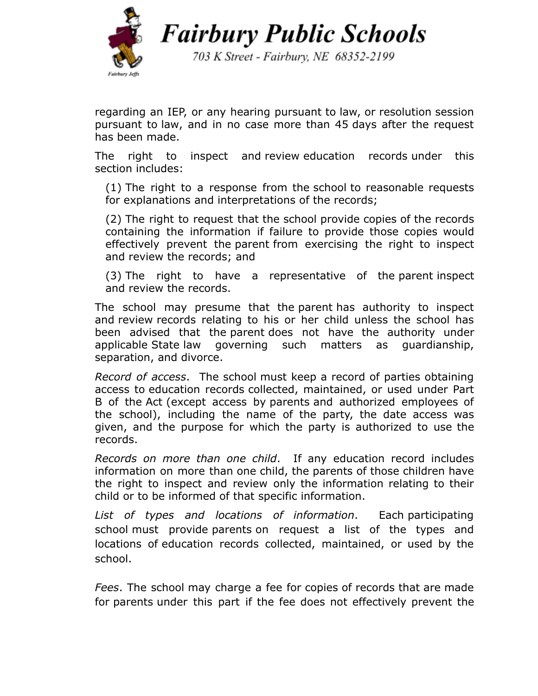

703 K Street - Fairbury, NE 68352-2199

regarding an IEP, or any hearing pursuant to law, or resolution session pursuant to [law,](https://www.law.cornell.edu/cfr/text/34/300.510) and in no case more than 45 [days](https://www.law.cornell.edu/definitions/index.php?width=840&height=800&iframe=true&def_id=2985a93df0a908eb1704164abecacc21&term_occur=1&term_src=Title:34:Subtitle:B:Chapter:III:Part:300:Subpart:F:Subjgrp:62:300.613) after the request has been made.

The right to inspect and [review](https://www.law.cornell.edu/definitions/index.php?width=840&height=800&iframe=true&def_id=57074eb1dad654ba403d8368aa06b822&term_occur=2&term_src=Title:34:Subtitle:B:Chapter:III:Part:300:Subpart:F:Subjgrp:62:300.613) [education](https://www.law.cornell.edu/definitions/index.php?width=840&height=800&iframe=true&def_id=7d4c3b2b099b1a542c98ade0980a59df&term_occur=2&term_src=Title:34:Subtitle:B:Chapter:III:Part:300:Subpart:F:Subjgrp:62:300.613) records under this section [includes:](https://www.law.cornell.edu/definitions/index.php?width=840&height=800&iframe=true&def_id=f31b6027283ea1d85fcbbf0ce99cf4e9&term_occur=1&term_src=Title:34:Subtitle:B:Chapter:III:Part:300:Subpart:F:Subjgrp:62:300.613)

(1) The right to a response from the [school](https://www.law.cornell.edu/definitions/index.php?width=840&height=800&iframe=true&def_id=3093939e70bd162be79f90b12d3ee788&term_occur=2&term_src=Title:34:Subtitle:B:Chapter:III:Part:300:Subpart:F:Subjgrp:62:300.613) to reasonable requests for explanations and interpretations of the records;

(2) The right to request that the school provide copies of the records containing the information if failure to provide those copies would effectively prevent the [parent](https://www.law.cornell.edu/definitions/index.php?width=840&height=800&iframe=true&def_id=b6ce5c79a8e97041f2936a0d0d738c11&term_occur=2&term_src=Title:34:Subtitle:B:Chapter:III:Part:300:Subpart:F:Subjgrp:62:300.613) from exercising the right to inspect and [review](https://www.law.cornell.edu/definitions/index.php?width=840&height=800&iframe=true&def_id=57074eb1dad654ba403d8368aa06b822&term_occur=3&term_src=Title:34:Subtitle:B:Chapter:III:Part:300:Subpart:F:Subjgrp:62:300.613) the records; and

(3) The right to have a representative of the [parent](https://www.law.cornell.edu/definitions/index.php?width=840&height=800&iframe=true&def_id=b6ce5c79a8e97041f2936a0d0d738c11&term_occur=3&term_src=Title:34:Subtitle:B:Chapter:III:Part:300:Subpart:F:Subjgrp:62:300.613) inspect and [review](https://www.law.cornell.edu/definitions/index.php?width=840&height=800&iframe=true&def_id=57074eb1dad654ba403d8368aa06b822&term_occur=4&term_src=Title:34:Subtitle:B:Chapter:III:Part:300:Subpart:F:Subjgrp:62:300.613) the records.

The school may presume that the [parent](https://www.law.cornell.edu/definitions/index.php?width=840&height=800&iframe=true&def_id=b6ce5c79a8e97041f2936a0d0d738c11&term_occur=4&term_src=Title:34:Subtitle:B:Chapter:III:Part:300:Subpart:F:Subjgrp:62:300.613) has authority to inspect and [review](https://www.law.cornell.edu/definitions/index.php?width=840&height=800&iframe=true&def_id=57074eb1dad654ba403d8368aa06b822&term_occur=5&term_src=Title:34:Subtitle:B:Chapter:III:Part:300:Subpart:F:Subjgrp:62:300.613) records relating to his or her child unless the school has been advised that the [parent](https://www.law.cornell.edu/definitions/index.php?width=840&height=800&iframe=true&def_id=b6ce5c79a8e97041f2936a0d0d738c11&term_occur=5&term_src=Title:34:Subtitle:B:Chapter:III:Part:300:Subpart:F:Subjgrp:62:300.613) does not have the authority under applicable [State](https://www.law.cornell.edu/definitions/index.php?width=840&height=800&iframe=true&def_id=5610bc66d367e8bcdc16da4706fdf626&term_occur=1&term_src=Title:34:Subtitle:B:Chapter:III:Part:300:Subpart:F:Subjgrp:62:300.613) law governing such matters as guardianship, separation, and divorce.

*Record of access*. The school must keep a record of parties obtaining access to [education](https://www.law.cornell.edu/definitions/index.php?width=840&height=800&iframe=true&def_id=7d4c3b2b099b1a542c98ade0980a59df&term_occur=1&term_src=Title:34:Subtitle:B:Chapter:III:Part:300:Subpart:F:Subjgrp:62:300.614) records collected, maintained, or used under Part B of the [Act](https://www.law.cornell.edu/definitions/index.php?width=840&height=800&iframe=true&def_id=489c155f025894392da6d6d45ae93d7d&term_occur=1&term_src=Title:34:Subtitle:B:Chapter:III:Part:300:Subpart:F:Subjgrp:62:300.614) (except access by [parents](https://www.law.cornell.edu/definitions/index.php?width=840&height=800&iframe=true&def_id=b6ce5c79a8e97041f2936a0d0d738c11&term_occur=1&term_src=Title:34:Subtitle:B:Chapter:III:Part:300:Subpart:F:Subjgrp:62:300.614) and authorized employees of the school), including the name of the party, the date access was given, and the purpose for which the party is authorized to use the records.

*Records on more than one child*. If any education record includes information on more than one child, the parents of those children have the right to inspect and review only the information relating to their child or to be informed of that specific information.

*List of types and locations of information*. Each [participating](https://www.law.cornell.edu/definitions/index.php?width=840&height=800&iframe=true&def_id=3093939e70bd162be79f90b12d3ee788&term_occur=1&term_src=Title:34:Subtitle:B:Chapter:III:Part:300:Subpart:F:Subjgrp:62:300.616) [school](https://www.law.cornell.edu/definitions/index.php?width=840&height=800&iframe=true&def_id=3093939e70bd162be79f90b12d3ee788&term_occur=1&term_src=Title:34:Subtitle:B:Chapter:III:Part:300:Subpart:F:Subjgrp:62:300.616) must provide [parents](https://www.law.cornell.edu/definitions/index.php?width=840&height=800&iframe=true&def_id=b6ce5c79a8e97041f2936a0d0d738c11&term_occur=1&term_src=Title:34:Subtitle:B:Chapter:III:Part:300:Subpart:F:Subjgrp:62:300.616) on request a list of the types and locations of [education](https://www.law.cornell.edu/definitions/index.php?width=840&height=800&iframe=true&def_id=7d4c3b2b099b1a542c98ade0980a59df&term_occur=1&term_src=Title:34:Subtitle:B:Chapter:III:Part:300:Subpart:F:Subjgrp:62:300.616) records collected, maintained, or used by the school.

*Fees*. The school may charge a fee for copies of records that are made for [parents](https://www.law.cornell.edu/definitions/index.php?width=840&height=800&iframe=true&def_id=b6ce5c79a8e97041f2936a0d0d738c11&term_occur=1&term_src=Title:34:Subtitle:B:Chapter:III:Part:300:Subpart:F:Subjgrp:62:300.617) under this part if the fee does not effectively prevent the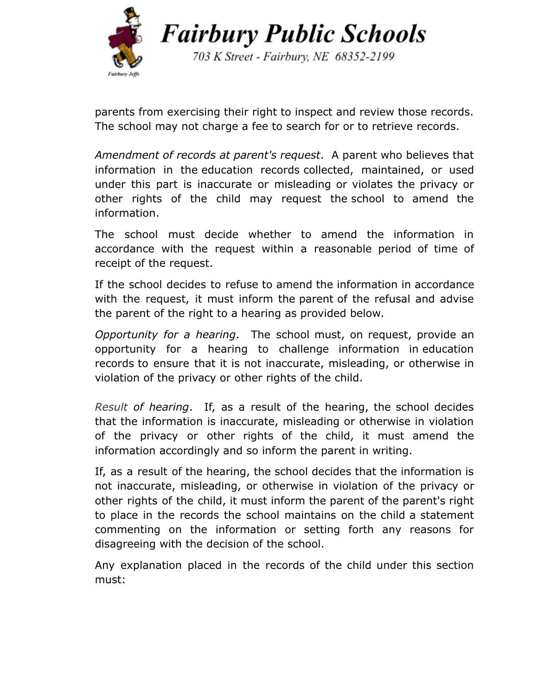

703 K Street - Fairbury, NE 68352-2199

[parents](https://www.law.cornell.edu/definitions/index.php?width=840&height=800&iframe=true&def_id=b6ce5c79a8e97041f2936a0d0d738c11&term_occur=2&term_src=Title:34:Subtitle:B:Chapter:III:Part:300:Subpart:F:Subjgrp:62:300.617) from exercising their right to inspect and [review](https://www.law.cornell.edu/definitions/index.php?width=840&height=800&iframe=true&def_id=57074eb1dad654ba403d8368aa06b822&term_occur=1&term_src=Title:34:Subtitle:B:Chapter:III:Part:300:Subpart:F:Subjgrp:62:300.617) those records. The school may not charge a fee to search for or to retrieve records.

*Amendment of records at [parent](https://www.law.cornell.edu/definitions/index.php?width=840&height=800&iframe=true&def_id=b6ce5c79a8e97041f2936a0d0d738c11&term_occur=1&term_src=Title:34:Subtitle:B:Chapter:III:Part:300:Subpart:F:Subjgrp:62:300.618)'s request*. A [parent](https://www.law.cornell.edu/definitions/index.php?width=840&height=800&iframe=true&def_id=b6ce5c79a8e97041f2936a0d0d738c11&term_occur=2&term_src=Title:34:Subtitle:B:Chapter:III:Part:300:Subpart:F:Subjgrp:62:300.618) who believes that information in the [education](https://www.law.cornell.edu/definitions/index.php?width=840&height=800&iframe=true&def_id=7d4c3b2b099b1a542c98ade0980a59df&term_occur=1&term_src=Title:34:Subtitle:B:Chapter:III:Part:300:Subpart:F:Subjgrp:62:300.618) records collected, maintained, or used under this part is inaccurate or misleading or violates the privacy or other rights of the child may request the school to amend the information.

The school must decide whether to amend the information in accordance with the request within a reasonable period of time of receipt of the request.

If the school decides to refuse to amend the information in accordance with the request, it must inform the [parent](https://www.law.cornell.edu/definitions/index.php?width=840&height=800&iframe=true&def_id=b6ce5c79a8e97041f2936a0d0d738c11&term_occur=3&term_src=Title:34:Subtitle:B:Chapter:III:Part:300:Subpart:F:Subjgrp:62:300.618) of the refusal and advise the [parent](https://www.law.cornell.edu/definitions/index.php?width=840&height=800&iframe=true&def_id=b6ce5c79a8e97041f2936a0d0d738c11&term_occur=4&term_src=Title:34:Subtitle:B:Chapter:III:Part:300:Subpart:F:Subjgrp:62:300.618) of the right to a hearing as provided below.

*Opportunity for a hearing*. The school must, on request, provide an opportunity for a hearing to challenge information in [education](https://www.law.cornell.edu/definitions/index.php?width=840&height=800&iframe=true&def_id=7d4c3b2b099b1a542c98ade0980a59df&term_occur=1&term_src=Title:34:Subtitle:B:Chapter:III:Part:300:Subpart:F:Subjgrp:62:300.619) [records](https://www.law.cornell.edu/definitions/index.php?width=840&height=800&iframe=true&def_id=7d4c3b2b099b1a542c98ade0980a59df&term_occur=1&term_src=Title:34:Subtitle:B:Chapter:III:Part:300:Subpart:F:Subjgrp:62:300.619) to ensure that it is not inaccurate, misleading, or otherwise in violation of the privacy or other rights of the child.

*Result of hearing*. If, as a result of the hearing, the school decides that the information is inaccurate, misleading or otherwise in violation of the privacy or other rights of the child, it must amend the information accordingly and so inform the [parent](https://www.law.cornell.edu/definitions/index.php?width=840&height=800&iframe=true&def_id=b6ce5c79a8e97041f2936a0d0d738c11&term_occur=1&term_src=Title:34:Subtitle:B:Chapter:III:Part:300:Subpart:F:Subjgrp:62:300.620) in writing.

If, as a result of the hearing, the school decides that the information is not inaccurate, misleading, or otherwise in violation of the privacy or other rights of the child, it must inform the [parent](https://www.law.cornell.edu/definitions/index.php?width=840&height=800&iframe=true&def_id=b6ce5c79a8e97041f2936a0d0d738c11&term_occur=2&term_src=Title:34:Subtitle:B:Chapter:III:Part:300:Subpart:F:Subjgrp:62:300.620) of the [parent](https://www.law.cornell.edu/definitions/index.php?width=840&height=800&iframe=true&def_id=b6ce5c79a8e97041f2936a0d0d738c11&term_occur=3&term_src=Title:34:Subtitle:B:Chapter:III:Part:300:Subpart:F:Subjgrp:62:300.620)'s right to place in the records the school maintains on the child a statement commenting on the information or setting forth any reasons for disagreeing with the decision of the school.

Any explanation placed in the records of the child under this section must: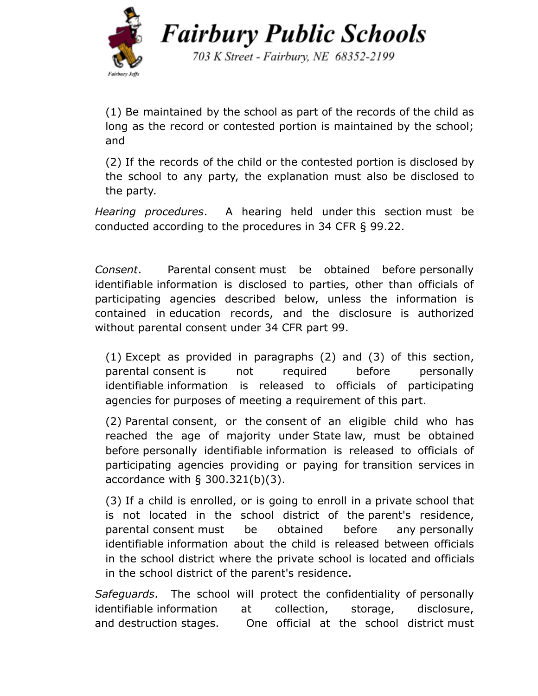

703 K Street - Fairbury, NE 68352-2199

(1) Be maintained by the school as part of the records of the child as long as the record or contested portion is maintained by the school; and

(2) If the records of the child or the contested portion is disclosed by the school to any party, the explanation must also be disclosed to the party.

*Hearing procedures*. A hearing held under [this](https://www.law.cornell.edu/cfr/text/34/300.619) section must be conducted according to the procedures in [34 CFR §](https://www.law.cornell.edu/cfr/text/34/99.22) 99.22.

*[Consent](https://www.law.cornell.edu/definitions/index.php?width=840&height=800&iframe=true&def_id=add0c6f2e7319aa2ef0fe236a1bed3be&term_occur=1&term_src=Title:34:Subtitle:B:Chapter:III:Part:300:Subpart:F:Subjgrp:62:300.622)*. Parental [consent](https://www.law.cornell.edu/definitions/index.php?width=840&height=800&iframe=true&def_id=add0c6f2e7319aa2ef0fe236a1bed3be&term_occur=2&term_src=Title:34:Subtitle:B:Chapter:III:Part:300:Subpart:F:Subjgrp:62:300.622) must be obtained before [personally](https://www.law.cornell.edu/definitions/index.php?width=840&height=800&iframe=true&def_id=fe066366fed1d24d7d8c56baa2f4e2a1&term_occur=1&term_src=Title:34:Subtitle:B:Chapter:III:Part:300:Subpart:F:Subjgrp:62:300.622) [identifiable](https://www.law.cornell.edu/definitions/index.php?width=840&height=800&iframe=true&def_id=fe066366fed1d24d7d8c56baa2f4e2a1&term_occur=1&term_src=Title:34:Subtitle:B:Chapter:III:Part:300:Subpart:F:Subjgrp:62:300.622) information is disclosed to parties, other than officials of participating agencies described below, unless the information is contained in [education](https://www.law.cornell.edu/definitions/index.php?width=840&height=800&iframe=true&def_id=7d4c3b2b099b1a542c98ade0980a59df&term_occur=1&term_src=Title:34:Subtitle:B:Chapter:III:Part:300:Subpart:F:Subjgrp:62:300.622) records, and the disclosure is authorized without parental [consent](https://www.law.cornell.edu/definitions/index.php?width=840&height=800&iframe=true&def_id=add0c6f2e7319aa2ef0fe236a1bed3be&term_occur=3&term_src=Title:34:Subtitle:B:Chapter:III:Part:300:Subpart:F:Subjgrp:62:300.622) under [34 CFR part 99.](https://www.law.cornell.edu/cfr/text/34/part-99)

(1) Except as provided in paragraphs (2) and (3) of this section, parental [consent](https://www.law.cornell.edu/definitions/index.php?width=840&height=800&iframe=true&def_id=add0c6f2e7319aa2ef0fe236a1bed3be&term_occur=4&term_src=Title:34:Subtitle:B:Chapter:III:Part:300:Subpart:F:Subjgrp:62:300.622) is not required before [personally](https://www.law.cornell.edu/definitions/index.php?width=840&height=800&iframe=true&def_id=fe066366fed1d24d7d8c56baa2f4e2a1&term_occur=2&term_src=Title:34:Subtitle:B:Chapter:III:Part:300:Subpart:F:Subjgrp:62:300.622) [identifiable](https://www.law.cornell.edu/definitions/index.php?width=840&height=800&iframe=true&def_id=fe066366fed1d24d7d8c56baa2f4e2a1&term_occur=2&term_src=Title:34:Subtitle:B:Chapter:III:Part:300:Subpart:F:Subjgrp:62:300.622) information is released to officials of participating agencies for purposes of meeting a requirement of this part.

(2) Parental [consent](https://www.law.cornell.edu/definitions/index.php?width=840&height=800&iframe=true&def_id=add0c6f2e7319aa2ef0fe236a1bed3be&term_occur=6&term_src=Title:34:Subtitle:B:Chapter:III:Part:300:Subpart:F:Subjgrp:62:300.622), or the [consent](https://www.law.cornell.edu/definitions/index.php?width=840&height=800&iframe=true&def_id=add0c6f2e7319aa2ef0fe236a1bed3be&term_occur=5&term_src=Title:34:Subtitle:B:Chapter:III:Part:300:Subpart:F:Subjgrp:62:300.622) of an eligible child who has reached the age of majority under [State](https://www.law.cornell.edu/definitions/index.php?width=840&height=800&iframe=true&def_id=5610bc66d367e8bcdc16da4706fdf626&term_occur=1&term_src=Title:34:Subtitle:B:Chapter:III:Part:300:Subpart:F:Subjgrp:62:300.622) law, must be obtained before personally [identifiable](https://www.law.cornell.edu/definitions/index.php?width=840&height=800&iframe=true&def_id=fe066366fed1d24d7d8c56baa2f4e2a1&term_occur=3&term_src=Title:34:Subtitle:B:Chapter:III:Part:300:Subpart:F:Subjgrp:62:300.622) information is released to officials of participating agencies providing or paying for [transition](https://www.law.cornell.edu/definitions/index.php?width=840&height=800&iframe=true&def_id=2c9f3f4e54c3499633b174749f739e85&term_occur=1&term_src=Title:34:Subtitle:B:Chapter:III:Part:300:Subpart:F:Subjgrp:62:300.622) services in accordance with [§ 300.321\(b\)\(3\).](https://www.law.cornell.edu/cfr/text/34/300.321#b_3)

(3) If a child is enrolled, or is going to enroll in a private school that is not located in the school district of the [parent](https://www.law.cornell.edu/definitions/index.php?width=840&height=800&iframe=true&def_id=b6ce5c79a8e97041f2936a0d0d738c11&term_occur=1&term_src=Title:34:Subtitle:B:Chapter:III:Part:300:Subpart:F:Subjgrp:62:300.622)'s residence, parental [consent](https://www.law.cornell.edu/definitions/index.php?width=840&height=800&iframe=true&def_id=add0c6f2e7319aa2ef0fe236a1bed3be&term_occur=7&term_src=Title:34:Subtitle:B:Chapter:III:Part:300:Subpart:F:Subjgrp:62:300.622) must be obtained before any [personally](https://www.law.cornell.edu/definitions/index.php?width=840&height=800&iframe=true&def_id=fe066366fed1d24d7d8c56baa2f4e2a1&term_occur=4&term_src=Title:34:Subtitle:B:Chapter:III:Part:300:Subpart:F:Subjgrp:62:300.622) [identifiable](https://www.law.cornell.edu/definitions/index.php?width=840&height=800&iframe=true&def_id=fe066366fed1d24d7d8c56baa2f4e2a1&term_occur=4&term_src=Title:34:Subtitle:B:Chapter:III:Part:300:Subpart:F:Subjgrp:62:300.622) information about the child is released between officials in the school district where the private school is located and officials in the school district of the [parent](https://www.law.cornell.edu/definitions/index.php?width=840&height=800&iframe=true&def_id=b6ce5c79a8e97041f2936a0d0d738c11&term_occur=2&term_src=Title:34:Subtitle:B:Chapter:III:Part:300:Subpart:F:Subjgrp:62:300.622)'s residence.

*Safeguards*. The school will protect the confidentiality of [personally](https://www.law.cornell.edu/definitions/index.php?width=840&height=800&iframe=true&def_id=fe066366fed1d24d7d8c56baa2f4e2a1&term_occur=1&term_src=Title:34:Subtitle:B:Chapter:III:Part:300:Subpart:F:Subjgrp:62:300.623) [identifiable](https://www.law.cornell.edu/definitions/index.php?width=840&height=800&iframe=true&def_id=fe066366fed1d24d7d8c56baa2f4e2a1&term_occur=1&term_src=Title:34:Subtitle:B:Chapter:III:Part:300:Subpart:F:Subjgrp:62:300.623) information at collection, storage, disclosure, and [destruction](https://www.law.cornell.edu/definitions/index.php?width=840&height=800&iframe=true&def_id=caa4b63f15f7aa5bffb4abfd256c68f7&term_occur=1&term_src=Title:34:Subtitle:B:Chapter:III:Part:300:Subpart:F:Subjgrp:62:300.623) stages. One official at the school district must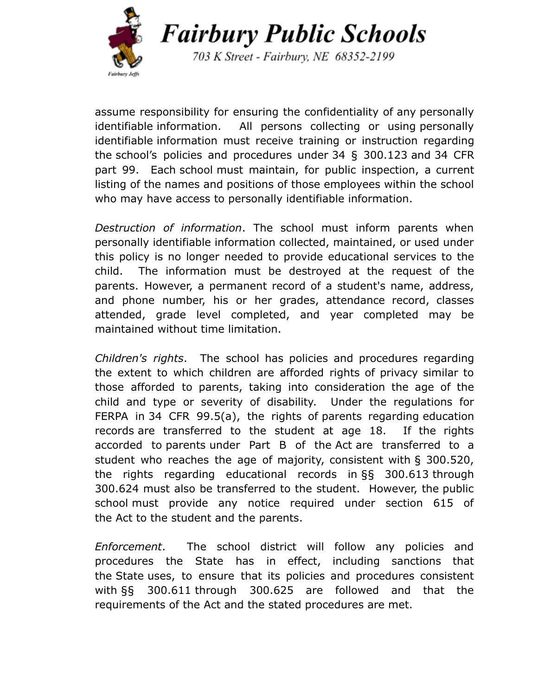

703 K Street - Fairbury, NE 68352-2199

assume responsibility for ensuring the confidentiality of any [personally](https://www.law.cornell.edu/definitions/index.php?width=840&height=800&iframe=true&def_id=fe066366fed1d24d7d8c56baa2f4e2a1&term_occur=2&term_src=Title:34:Subtitle:B:Chapter:III:Part:300:Subpart:F:Subjgrp:62:300.623) [identifiable](https://www.law.cornell.edu/definitions/index.php?width=840&height=800&iframe=true&def_id=fe066366fed1d24d7d8c56baa2f4e2a1&term_occur=2&term_src=Title:34:Subtitle:B:Chapter:III:Part:300:Subpart:F:Subjgrp:62:300.623) information. All persons collecting or using [personally](https://www.law.cornell.edu/definitions/index.php?width=840&height=800&iframe=true&def_id=fe066366fed1d24d7d8c56baa2f4e2a1&term_occur=3&term_src=Title:34:Subtitle:B:Chapter:III:Part:300:Subpart:F:Subjgrp:62:300.623) [identifiable](https://www.law.cornell.edu/definitions/index.php?width=840&height=800&iframe=true&def_id=fe066366fed1d24d7d8c56baa2f4e2a1&term_occur=3&term_src=Title:34:Subtitle:B:Chapter:III:Part:300:Subpart:F:Subjgrp:62:300.623) information must receive training or instruction regarding the school's policies and procedures under 34 § [300.123](https://www.law.cornell.edu/cfr/text/34/300.123) and 34 [CFR](https://www.law.cornell.edu/cfr/text/34/part-99) [part](https://www.law.cornell.edu/cfr/text/34/part-99) 99. Each [school](https://www.law.cornell.edu/definitions/index.php?width=840&height=800&iframe=true&def_id=3093939e70bd162be79f90b12d3ee788&term_occur=3&term_src=Title:34:Subtitle:B:Chapter:III:Part:300:Subpart:F:Subjgrp:62:300.623) must maintain, for public inspection, a current listing of the names and positions of those employees within the school who may have access to [personally identifiable](https://www.law.cornell.edu/definitions/index.php?width=840&height=800&iframe=true&def_id=fe066366fed1d24d7d8c56baa2f4e2a1&term_occur=4&term_src=Title:34:Subtitle:B:Chapter:III:Part:300:Subpart:F:Subjgrp:62:300.623) information.

*Destruction of information*. The school must inform parents when personally identifiable information collected, maintained, or used under this policy is no longer needed to provide educational services to the child. The information must be destroyed at the request of the parents. However, a permanent record of a student's name, address, and phone number, his or her grades, attendance record, classes attended, grade level completed, and year completed may be maintained without time limitation.

*Children's rights*. The school has policies and procedures regarding the extent to which children are afforded rights of privacy similar to those afforded to parents, taking into consideration the age of the child and type or severity of disability. Under the regulations for FERPA in 34 CFR [99.5\(a\)](https://www.law.cornell.edu/cfr/text/34/99.5), the rights of [parents](https://www.law.cornell.edu/definitions/index.php?width=840&height=800&iframe=true&def_id=b6ce5c79a8e97041f2936a0d0d738c11&term_occur=1&term_src=Title:34:Subtitle:B:Chapter:III:Part:300:Subpart:F:Subjgrp:62:300.625) regarding [education](https://www.law.cornell.edu/definitions/index.php?width=840&height=800&iframe=true&def_id=7d4c3b2b099b1a542c98ade0980a59df&term_occur=1&term_src=Title:34:Subtitle:B:Chapter:III:Part:300:Subpart:F:Subjgrp:62:300.625) [records](https://www.law.cornell.edu/definitions/index.php?width=840&height=800&iframe=true&def_id=7d4c3b2b099b1a542c98ade0980a59df&term_occur=1&term_src=Title:34:Subtitle:B:Chapter:III:Part:300:Subpart:F:Subjgrp:62:300.625) are transferred to the student at age 18. If the rights accorded to [parents](https://www.law.cornell.edu/definitions/index.php?width=840&height=800&iframe=true&def_id=b6ce5c79a8e97041f2936a0d0d738c11&term_occur=2&term_src=Title:34:Subtitle:B:Chapter:III:Part:300:Subpart:F:Subjgrp:62:300.625) under Part B of the [Act](https://www.law.cornell.edu/definitions/index.php?width=840&height=800&iframe=true&def_id=489c155f025894392da6d6d45ae93d7d&term_occur=1&term_src=Title:34:Subtitle:B:Chapter:III:Part:300:Subpart:F:Subjgrp:62:300.625) are transferred to a student who reaches the age of majority, consistent with § [300.520](https://www.law.cornell.edu/cfr/text/34/300.520), the rights regarding educational records in §§ [300.613](https://www.law.cornell.edu/cfr/text/34/300.613) through 300.624 must also be transferred to the student. However, the [public](https://www.law.cornell.edu/definitions/index.php?width=840&height=800&iframe=true&def_id=e0aca252d5dfb28bf343529a57e1b329&term_occur=1&term_src=Title:34:Subtitle:B:Chapter:III:Part:300:Subpart:F:Subjgrp:62:300.625) [school](https://www.law.cornell.edu/definitions/index.php?width=840&height=800&iframe=true&def_id=e0aca252d5dfb28bf343529a57e1b329&term_occur=1&term_src=Title:34:Subtitle:B:Chapter:III:Part:300:Subpart:F:Subjgrp:62:300.625) must provide any notice required under section 615 of the [Act](https://www.law.cornell.edu/definitions/index.php?width=840&height=800&iframe=true&def_id=489c155f025894392da6d6d45ae93d7d&term_occur=2&term_src=Title:34:Subtitle:B:Chapter:III:Part:300:Subpart:F:Subjgrp:62:300.625) to the student and the parents.

*Enforcement*. The school district will follow any policies and procedures the State has in effect, including sanctions that the [State](https://www.law.cornell.edu/definitions/index.php?width=840&height=800&iframe=true&def_id=5610bc66d367e8bcdc16da4706fdf626&term_occur=1&term_src=Title:34:Subtitle:B:Chapter:III:Part:300:Subpart:F:Subjgrp:62:300.626) uses, to ensure that its policies and procedures consistent with §§ [300.611](https://www.law.cornell.edu/cfr/text/34/300.611) through 300.625 are followed and that the requirements of the [Act](https://www.law.cornell.edu/definitions/index.php?width=840&height=800&iframe=true&def_id=489c155f025894392da6d6d45ae93d7d&term_occur=1&term_src=Title:34:Subtitle:B:Chapter:III:Part:300:Subpart:F:Subjgrp:62:300.626) and the stated procedures are met.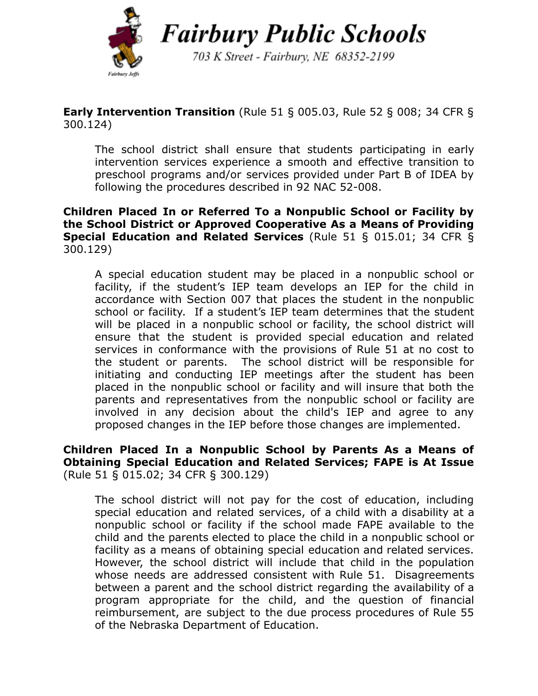

703 K Street - Fairbury, NE 68352-2199

## **Early Intervention Transition** (Rule 51 § 005.03, Rule 52 § 008; 34 CFR § 300.124)

The school district shall ensure that students participating in early intervention services experience a smooth and effective transition to preschool programs and/or services provided under Part B of IDEA by following the procedures described in 92 NAC 52-008.

#### **Children Placed In or Referred To a Nonpublic School or Facility by the School District or Approved Cooperative As a Means of Providing Special Education and Related Services** (Rule 51 § 015.01; 34 CFR § 300.129)

A special education student may be placed in a nonpublic school or facility, if the student's IEP team develops an IEP for the child in accordance with Section 007 that places the student in the nonpublic school or facility. If a student's IEP team determines that the student will be placed in a nonpublic school or facility, the school district will ensure that the student is provided special education and related services in conformance with the provisions of Rule 51 at no cost to the student or parents. The school district will be responsible for initiating and conducting IEP meetings after the student has been placed in the nonpublic school or facility and will insure that both the parents and representatives from the nonpublic school or facility are involved in any decision about the child's IEP and agree to any proposed changes in the IEP before those changes are implemented.

#### **Children Placed In a Nonpublic School by Parents As a Means of Obtaining Special Education and Related Services; FAPE is At Issue** (Rule 51 § 015.02; 34 CFR § 300.129)

The school district will not pay for the cost of education, including special education and related services, of a child with a disability at a nonpublic school or facility if the school made FAPE available to the child and the parents elected to place the child in a nonpublic school or facility as a means of obtaining special education and related services. However, the school district will include that child in the population whose needs are addressed consistent with Rule 51. Disagreements between a parent and the school district regarding the availability of a program appropriate for the child, and the question of financial reimbursement, are subject to the due process procedures of Rule 55 of the Nebraska Department of Education.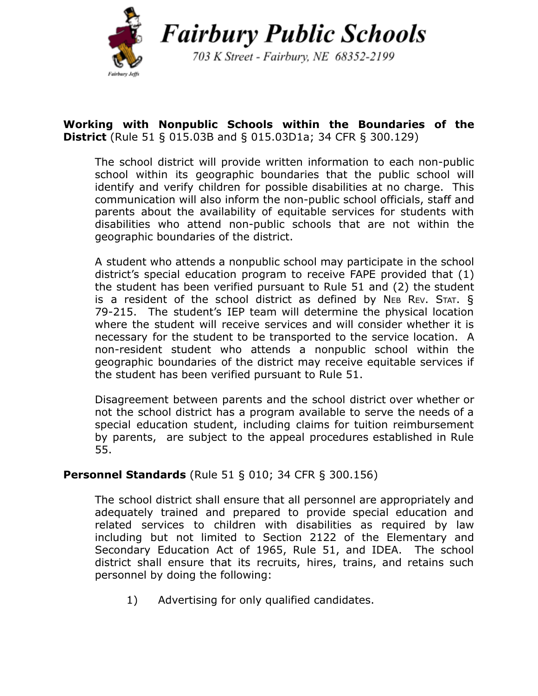

703 K Street - Fairbury, NE 68352-2199

## **Working with Nonpublic Schools within the Boundaries of the District** (Rule 51 § 015.03B and § 015.03D1a; 34 CFR § 300.129)

The school district will provide written information to each non-public school within its geographic boundaries that the public school will identify and verify children for possible disabilities at no charge. This communication will also inform the non-public school officials, staff and parents about the availability of equitable services for students with disabilities who attend non-public schools that are not within the geographic boundaries of the district.

A student who attends a nonpublic school may participate in the school district's special education program to receive FAPE provided that (1) the student has been verified pursuant to Rule 51 and (2) the student is a resident of the school district as defined by NEB REV. STAT.  $\S$ 79-215. The student's IEP team will determine the physical location where the student will receive services and will consider whether it is necessary for the student to be transported to the service location. A non-resident student who attends a nonpublic school within the geographic boundaries of the district may receive equitable services if the student has been verified pursuant to Rule 51.

Disagreement between parents and the school district over whether or not the school district has a program available to serve the needs of a special education student, including claims for tuition reimbursement by parents, are subject to the appeal procedures established in Rule 55.

### **Personnel Standards** (Rule 51 § 010; 34 CFR § 300.156)

The school district shall ensure that all personnel are appropriately and adequately trained and prepared to provide special education and related services to children with disabilities as required by law including but not limited to Section 2122 of the Elementary and Secondary Education Act of 1965, Rule 51, and IDEA. The school district shall ensure that its recruits, hires, trains, and retains such personnel by doing the following:

1) Advertising for only qualified candidates.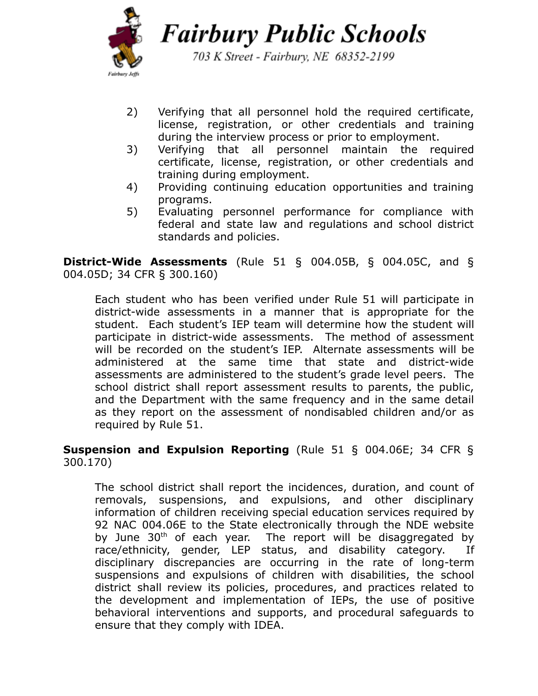

703 K Street - Fairbury, NE 68352-2199

- 2) Verifying that all personnel hold the required certificate, license, registration, or other credentials and training during the interview process or prior to employment.
- 3) Verifying that all personnel maintain the required certificate, license, registration, or other credentials and training during employment.
- 4) Providing continuing education opportunities and training programs.
- 5) Evaluating personnel performance for compliance with federal and state law and regulations and school district standards and policies.

**District-Wide Assessments** (Rule 51 § 004.05B, § 004.05C, and § 004.05D; 34 CFR § 300.160)

Each student who has been verified under Rule 51 will participate in district-wide assessments in a manner that is appropriate for the student. Each student's IEP team will determine how the student will participate in district-wide assessments. The method of assessment will be recorded on the student's IEP. Alternate assessments will be administered at the same time that state and district-wide assessments are administered to the student's grade level peers. The school district shall report assessment results to parents, the public, and the Department with the same frequency and in the same detail as they report on the assessment of nondisabled children and/or as required by Rule 51.

#### **Suspension and Expulsion Reporting** (Rule 51 § 004.06E; 34 CFR § 300.170)

The school district shall report the incidences, duration, and count of removals, suspensions, and expulsions, and other disciplinary information of children receiving special education services required by 92 NAC 004.06E to the State electronically through the NDE website by June 30<sup>th</sup> of each year. The report will be disaggregated by race/ethnicity, gender, LEP status, and disability category. If disciplinary discrepancies are occurring in the rate of long-term suspensions and expulsions of children with disabilities, the school district shall review its policies, procedures, and practices related to the development and implementation of IEPs, the use of positive behavioral interventions and supports, and procedural safeguards to ensure that they comply with IDEA.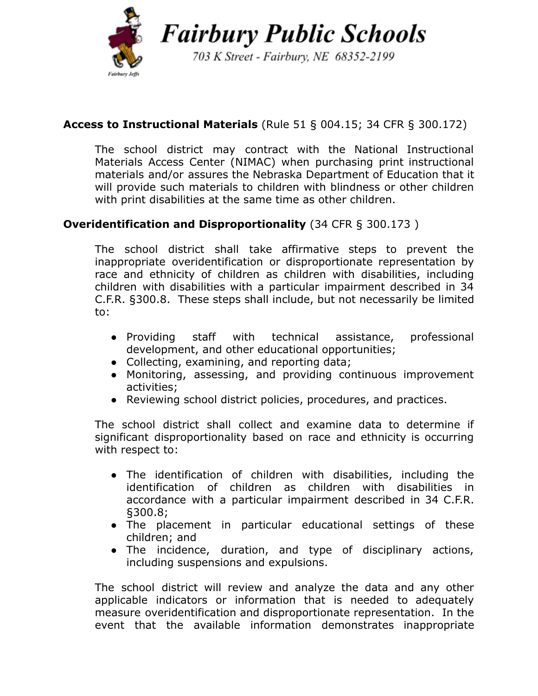

703 K Street - Fairbury, NE 68352-2199

# **Access to Instructional Materials** (Rule 51 § 004.15; 34 CFR § 300.172)

The school district may contract with the National Instructional Materials Access Center (NIMAC) when purchasing print instructional materials and/or assures the Nebraska Department of Education that it will provide such materials to children with blindness or other children with print disabilities at the same time as other children.

# **Overidentification and Disproportionality** (34 CFR § 300.173 )

The school district shall take affirmative steps to prevent the inappropriate overidentification or disproportionate representation by race and ethnicity of children as children with disabilities, including children with disabilities with a particular impairment described in 34 C.F.R. §300.8. These steps shall include, but not necessarily be limited to:

- Providing staff with technical assistance, professional development, and other educational opportunities;
- Collecting, examining, and reporting data;
- Monitoring, assessing, and providing continuous improvement activities;
- Reviewing school district policies, procedures, and practices.

The school district shall collect and examine data to determine if significant disproportionality based on race and ethnicity is occurring with respect to:

- The identification of children with disabilities, including the identification of children as children with disabilities in accordance with a particular impairment described in 34 C.F.R. §300.8;
- The placement in particular educational settings of these children; and
- The incidence, duration, and type of disciplinary actions, including suspensions and expulsions.

The school district will review and analyze the data and any other applicable indicators or information that is needed to adequately measure overidentification and disproportionate representation. In the event that the available information demonstrates inappropriate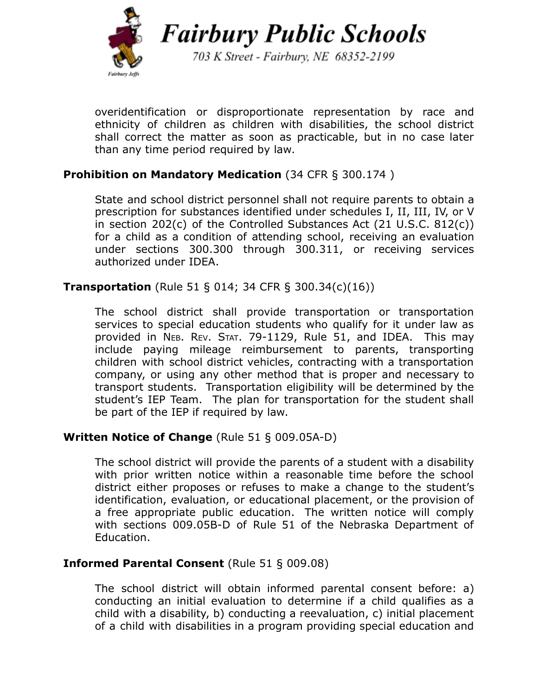

703 K Street - Fairbury, NE 68352-2199

overidentification or disproportionate representation by race and ethnicity of children as children with disabilities, the school district shall correct the matter as soon as practicable, but in no case later than any time period required by law.

### **Prohibition on Mandatory Medication** (34 CFR § 300.174 )

State and school district personnel shall not require parents to obtain a prescription for substances identified under schedules I, II, III, IV, or V in section 202(c) of the Controlled Substances Act (21 U.S.C. 812(c)) for a child as a condition of attending school, receiving an evaluation under sections 300.300 through 300.311, or receiving services authorized under IDEA.

**Transportation** (Rule 51 § 014; 34 CFR § 300.34(c)(16))

The school district shall provide transportation or transportation services to special education students who qualify for it under law as provided in NEB. REV. STAT. 79-1129, Rule 51, and IDEA. This may include paying mileage reimbursement to parents, transporting children with school district vehicles, contracting with a transportation company, or using any other method that is proper and necessary to transport students. Transportation eligibility will be determined by the student's IEP Team. The plan for transportation for the student shall be part of the IEP if required by law.

### **Written Notice of Change** (Rule 51 § 009.05A-D)

The school district will provide the parents of a student with a disability with prior written notice within a reasonable time before the school district either proposes or refuses to make a change to the student's identification, evaluation, or educational placement, or the provision of a free appropriate public education. The written notice will comply with sections 009.05B-D of Rule 51 of the Nebraska Department of Education.

### **Informed Parental Consent** (Rule 51 § 009.08)

The school district will obtain informed parental consent before: a) conducting an initial evaluation to determine if a child qualifies as a child with a disability, b) conducting a reevaluation, c) initial placement of a child with disabilities in a program providing special education and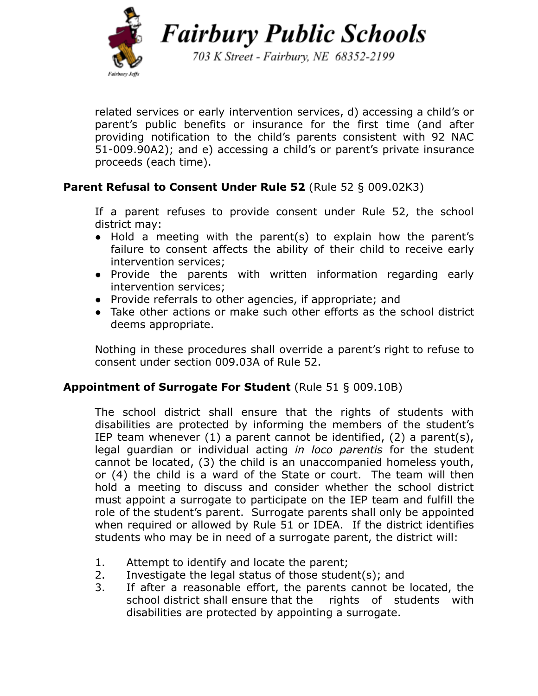

703 K Street - Fairbury, NE 68352-2199

related services or early intervention services, d) accessing a child's or parent's public benefits or insurance for the first time (and after providing notification to the child's parents consistent with 92 NAC 51-009.90A2); and e) accessing a child's or parent's private insurance proceeds (each time).

# **Parent Refusal to Consent Under Rule 52** (Rule 52 § 009.02K3)

If a parent refuses to provide consent under Rule 52, the school district may:

- Hold a meeting with the parent(s) to explain how the parent's failure to consent affects the ability of their child to receive early intervention services;
- Provide the parents with written information regarding early intervention services;
- Provide referrals to other agencies, if appropriate; and
- Take other actions or make such other efforts as the school district deems appropriate.

Nothing in these procedures shall override a parent's right to refuse to consent under section 009.03A of Rule 52.

# **Appointment of Surrogate For Student** (Rule 51 § 009.10B)

The school district shall ensure that the rights of students with disabilities are protected by informing the members of the student's IEP team whenever (1) a parent cannot be identified, (2) a parent(s), legal guardian or individual acting *in loco parentis* for the student cannot be located, (3) the child is an unaccompanied homeless youth, or (4) the child is a ward of the State or court. The team will then hold a meeting to discuss and consider whether the school district must appoint a surrogate to participate on the IEP team and fulfill the role of the student's parent. Surrogate parents shall only be appointed when required or allowed by Rule 51 or IDEA. If the district identifies students who may be in need of a surrogate parent, the district will:

- 1. Attempt to identify and locate the parent;
- 2. Investigate the legal status of those student(s); and
- 3. If after a reasonable effort, the parents cannot be located, the school district shall ensure that the rights of students with disabilities are protected by appointing a surrogate.